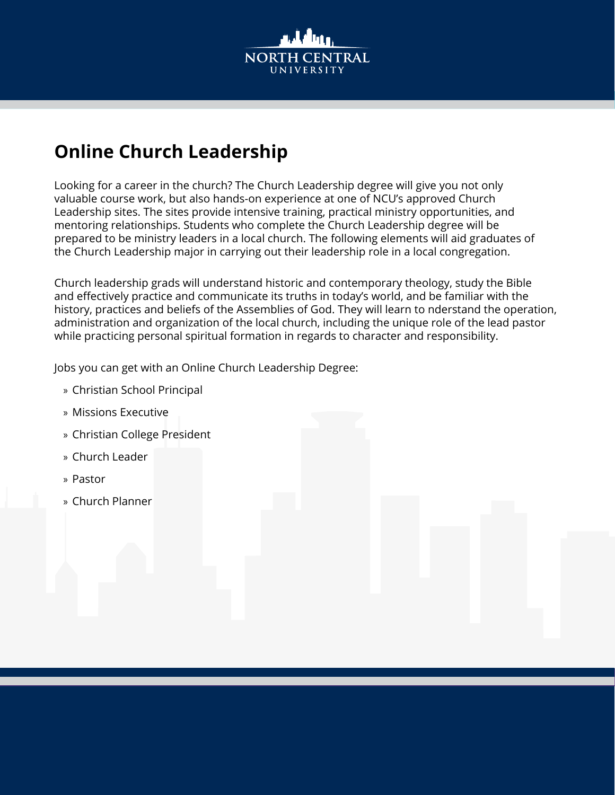

# **Online Church Leadership**

Looking for a career in the church? The Church Leadership degree will give you not only valuable course work, but also hands-on experience at one of NCU's approved Church Leadership sites. The sites provide intensive training, practical ministry opportunities, and mentoring relationships. Students who complete the Church Leadership degree will be prepared to be ministry leaders in a local church. The following elements will aid graduates of the Church Leadership major in carrying out their leadership role in a local congregation.

Church leadership grads will understand historic and contemporary theology, study the Bible and effectively practice and communicate its truths in today's world, and be familiar with the history, practices and beliefs of the Assemblies of God. They will learn to nderstand the operation, administration and organization of the local church, including the unique role of the lead pastor while practicing personal spiritual formation in regards to character and responsibility.

Jobs you can get with an Online Church Leadership Degree:

- » Christian School Principal
- » Missions Executive
- » Christian College President
- » Church Leader
- » Pastor
- » Church Planner